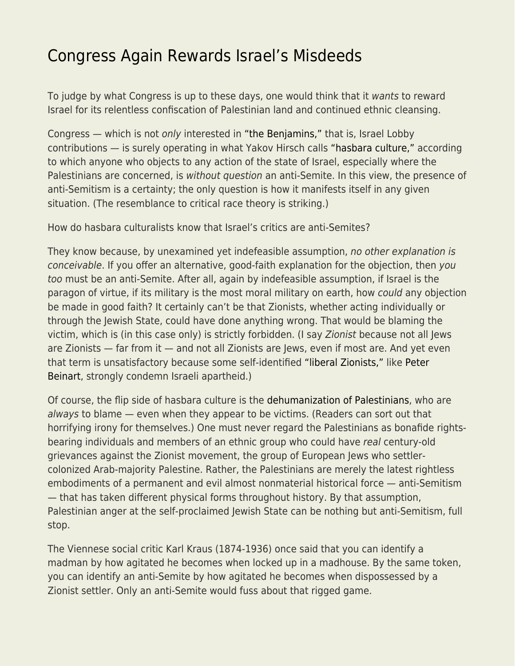## [Congress Again Rewards Israel's Misdeeds](https://everything-voluntary.com/congress-again-rewards-israels-misdeeds)

To judge by what Congress is up to these days, one would think that it wants to reward Israel for its relentless confiscation of Palestinian land and continued ethnic cleansing.

Congress — which is not only interested in ["the Benjamins,"](https://www.thenation.com/article/archive/ady-barkan-aipac-ilhan-omar/) that is, Israel Lobby contributions — is surely operating in what Yakov Hirsch calls ["hasbara culture,"](https://www.tabletmag.com/sections/israel-middle-east/articles/hasbara-culture-israel-netanyahu) according to which anyone who objects to any action of the state of Israel, especially where the Palestinians are concerned, is without question an anti-Semite. In this view, the presence of anti-Semitism is a certainty; the only question is how it manifests itself in any given situation. (The resemblance to critical race theory is striking.)

How do hasbara culturalists know that Israel's critics are anti-Semites?

They know because, by unexamined yet indefeasible assumption, no other explanation is conceivable. If you offer an alternative, good-faith explanation for the objection, then you too must be an anti-Semite. After all, again by indefeasible assumption, if Israel is the paragon of virtue, if its military is the most moral military on earth, how could any objection be made in good faith? It certainly can't be that Zionists, whether acting individually or through the Jewish State, could have done anything wrong. That would be blaming the victim, which is (in this case only) is strictly forbidden. (I say Zionist because not all Jews are Zionists — far from it — and not all Zionists are Jews, even if most are. And yet even that term is unsatisfactory because some self-identified ["liberal Zionists,"](https://mondoweiss.net/2018/09/benjamin-netanyahus-goldberg/) like [Peter](https://www.amazon.com/Crisis-Zionism-Peter-Beinart/dp/1250026733/ref=sr_1_1?crid=1O8DY8OTR95R3&keywords=peter+beinart&qid=1647553492&sprefix=peter+beinart%2Caps%2C492&sr=8-1) [Beinart,](https://www.amazon.com/Crisis-Zionism-Peter-Beinart/dp/1250026733/ref=sr_1_1?crid=1O8DY8OTR95R3&keywords=peter+beinart&qid=1647553492&sprefix=peter+beinart%2Caps%2C492&sr=8-1) strongly condemn Israeli apartheid.)

Of course, the flip side of hasbara culture is the [dehumanization of Palestinians,](https://www.haaretz.com/opinion/.premium-why-rabbi-sacks-is-wrong-1.5427783) who are always to blame — even when they appear to be victims. (Readers can sort out that horrifying irony for themselves.) One must never regard the Palestinians as bonafide rightsbearing individuals and members of an ethnic group who could have real century-old grievances against the Zionist movement, the group of European Jews who settlercolonized Arab-majority Palestine. Rather, the Palestinians are merely the latest rightless embodiments of a permanent and evil almost nonmaterial historical force — anti-Semitism — that has taken different physical forms throughout history. By that assumption, Palestinian anger at the self-proclaimed Jewish State can be nothing but anti-Semitism, full stop.

The Viennese social critic Karl Kraus (1874-1936) once said that you can identify a madman by how agitated he becomes when locked up in a madhouse. By the same token, you can identify an anti-Semite by how agitated he becomes when dispossessed by a Zionist settler. Only an anti-Semite would fuss about that rigged game.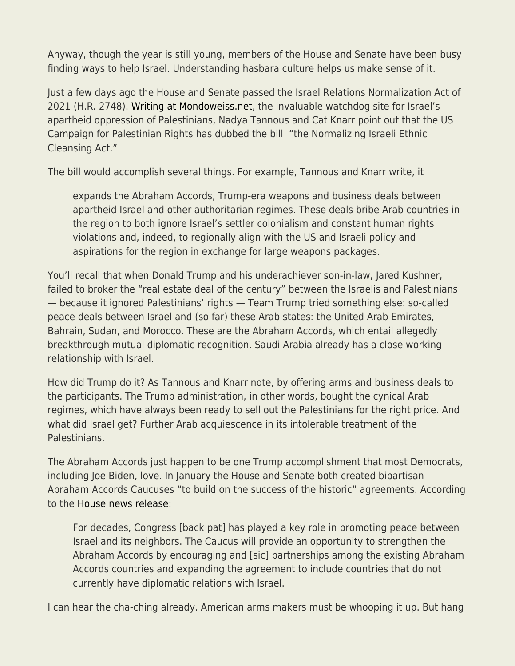Anyway, though the year is still young, members of the House and Senate have been busy finding ways to help Israel. Understanding hasbara culture helps us make sense of it.

Just a few days ago the House and Senate passed the Israel Relations Normalization Act of 2021 (H.R. 2748). [Writing at Mondoweiss.net](https://mondoweiss.net/2022/03/congresss-israel-normalization-act-normalizes-ethnic-cleansing-and-impunity/), the invaluable watchdog site for Israel's apartheid oppression of Palestinians, Nadya Tannous and Cat Knarr point out that the US Campaign for Palestinian Rights has dubbed the bill "the Normalizing Israeli Ethnic Cleansing Act."

The bill would accomplish several things. For example, Tannous and Knarr write, it

expands the Abraham Accords, Trump-era weapons and business deals between apartheid Israel and other authoritarian regimes. These deals bribe Arab countries in the region to both ignore Israel's settler colonialism and constant human rights violations and, indeed, to regionally align with the US and Israeli policy and aspirations for the region in exchange for large weapons packages.

You'll recall that when Donald Trump and his underachiever son-in-law, Jared Kushner, failed to broker the "real estate deal of the century" between the Israelis and Palestinians — because it ignored Palestinians' rights — Team Trump tried something else: so-called peace deals between Israel and (so far) these Arab states: the United Arab Emirates, Bahrain, Sudan, and Morocco. These are the Abraham Accords, which entail allegedly breakthrough mutual diplomatic recognition. Saudi Arabia already has a close working relationship with Israel.

How did Trump do it? As Tannous and Knarr note, by offering arms and business deals to the participants. The Trump administration, in other words, bought the cynical Arab regimes, which have always been ready to sell out the Palestinians for the right price. And what did Israel get? Further Arab acquiescence in its intolerable treatment of the Palestinians.

The Abraham Accords just happen to be one Trump accomplishment that most Democrats, including Joe Biden, love. In January the House and Senate both created bipartisan Abraham Accords Caucuses "to build on the success of the historic" agreements. According to the [House news release](https://wagner.house.gov/media-center/press-releases/wagner-colleagues-launch-abraham-accords-caucus):

For decades, Congress [back pat] has played a key role in promoting peace between Israel and its neighbors. The Caucus will provide an opportunity to strengthen the Abraham Accords by encouraging and [sic] partnerships among the existing Abraham Accords countries and expanding the agreement to include countries that do not currently have diplomatic relations with Israel.

I can hear the cha-ching already. American arms makers must be whooping it up. But hang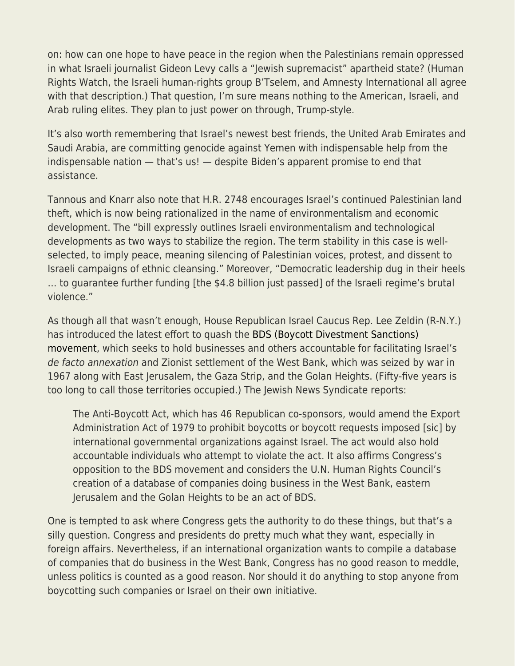on: how can one hope to have peace in the region when the Palestinians remain oppressed in what Israeli journalist Gideon Levy calls a "Jewish supremacist" apartheid state? (Human Rights Watch, the Israeli human-rights group B'Tselem, and Amnesty International all agree with that description.) That question, I'm sure means nothing to the American, Israeli, and Arab ruling elites. They plan to just power on through, Trump-style.

It's also worth remembering that Israel's newest best friends, the United Arab Emirates and Saudi Arabia, are committing genocide against Yemen with indispensable help from the indispensable nation — that's us! — despite Biden's apparent promise to end that assistance.

Tannous and Knarr also note that H.R. 2748 encourages Israel's continued Palestinian land theft, which is now being rationalized in the name of environmentalism and economic development. The "bill expressly outlines Israeli environmentalism and technological developments as two ways to stabilize the region. The term stability in this case is wellselected, to imply peace, meaning silencing of Palestinian voices, protest, and dissent to Israeli campaigns of ethnic cleansing." Moreover, "Democratic leadership dug in their heels … to guarantee further funding [the \$4.8 billion just passed] of the Israeli regime's brutal violence."

As though all that wasn't enough, House Republican Israel Caucus Rep. Lee Zeldin (R-N.Y.) has introduced the latest effort to quash the [BDS \(Boycott Divestment Sanctions\)](https://bdsmovement.net/) [movement](https://bdsmovement.net/), which seeks to hold businesses and others accountable for facilitating Israel's de facto annexation and Zionist settlement of the West Bank, which was seized by war in 1967 along with East Jerusalem, the Gaza Strip, and the Golan Heights. (Fifty-five years is too long to call those territories occupied.) The Jewish News Syndicate reports:

The Anti-Boycott Act, which has 46 Republican co-sponsors, would amend the Export Administration Act of 1979 to prohibit boycotts or boycott requests imposed [sic] by international governmental organizations against Israel. The act would also hold accountable individuals who attempt to violate the act. It also affirms Congress's opposition to the BDS movement and considers the U.N. Human Rights Council's creation of a database of companies doing business in the West Bank, eastern Jerusalem and the Golan Heights to be an act of BDS.

One is tempted to ask where Congress gets the authority to do these things, but that's a silly question. Congress and presidents do pretty much what they want, especially in foreign affairs. Nevertheless, if an international organization wants to compile a database of companies that do business in the West Bank, Congress has no good reason to meddle, unless politics is counted as a good reason. Nor should it do anything to stop anyone from boycotting such companies or Israel on their own initiative.